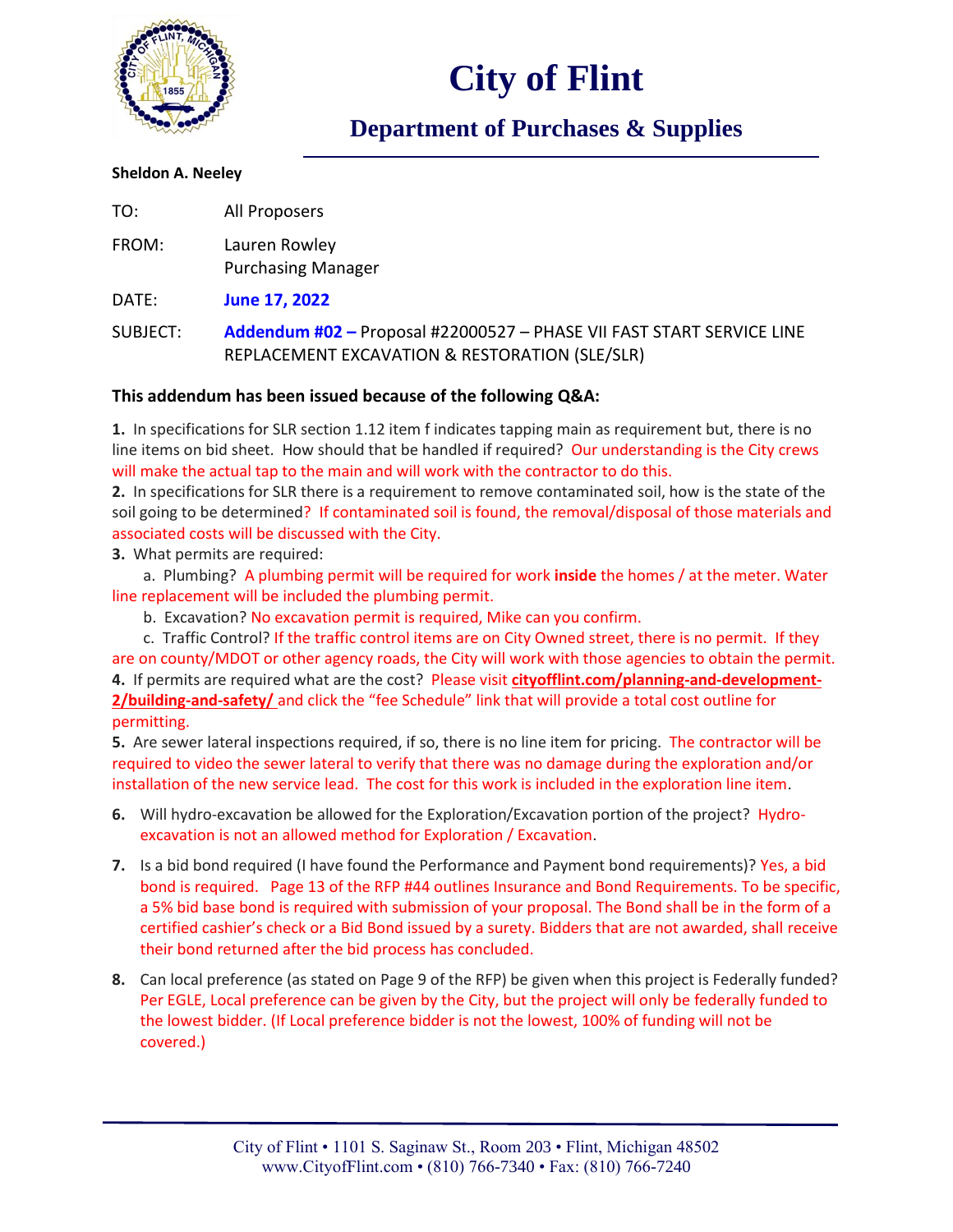

## **City of Flint**

### **Department of Purchases & Supplies**

#### **Sheldon A. Neeley**

| TO:      | All Proposers                                                                                                           |
|----------|-------------------------------------------------------------------------------------------------------------------------|
| FROM:    | Lauren Rowley<br><b>Purchasing Manager</b>                                                                              |
| DATE:    | June 17, 2022                                                                                                           |
| SUBJECT: | Addendum #02 - Proposal #22000527 - PHASE VII FAST START SERVICE LINE<br>REPLACEMENT EXCAVATION & RESTORATION (SLE/SLR) |

### **This addendum has been issued because of the following Q&A:**

**1.** In specifications for SLR section 1.12 item f indicates tapping main as requirement but, there is no line items on bid sheet. How should that be handled if required? Our understanding is the City crews will make the actual tap to the main and will work with the contractor to do this.

**2.** In specifications for SLR there is a requirement to remove contaminated soil, how is the state of the soil going to be determined? If contaminated soil is found, the removal/disposal of those materials and associated costs will be discussed with the City.

**3.** What permits are required:

a. Plumbing? A plumbing permit will be required for work **inside** the homes / at the meter. Water line replacement will be included the plumbing permit.

b. Excavation? No excavation permit is required, Mike can you confirm.

c. Traffic Control? If the traffic control items are on City Owned street, there is no permit. If they are on county/MDOT or other agency roads, the City will work with those agencies to obtain the permit. **4.** If permits are required what are the cost? Please visit **cityofflint.com/planning-and-development-2/building-and-safety/** and click the "fee Schedule" link that will provide a total cost outline for permitting.

**5.** Are sewer lateral inspections required, if so, there is no line item for pricing. The contractor will be required to video the sewer lateral to verify that there was no damage during the exploration and/or installation of the new service lead. The cost for this work is included in the exploration line item.

- **6.** Will hydro-excavation be allowed for the Exploration/Excavation portion of the project? Hydroexcavation is not an allowed method for Exploration / Excavation.
- **7.** Is a bid bond required (I have found the Performance and Payment bond requirements)? Yes, a bid bond is required. Page 13 of the RFP #44 outlines Insurance and Bond Requirements. To be specific, a 5% bid base bond is required with submission of your proposal. The Bond shall be in the form of a certified cashier's check or a Bid Bond issued by a surety. Bidders that are not awarded, shall receive their bond returned after the bid process has concluded.
- **8.** Can local preference (as stated on Page 9 of the RFP) be given when this project is Federally funded? Per EGLE, Local preference can be given by the City, but the project will only be federally funded to the lowest bidder. (If Local preference bidder is not the lowest, 100% of funding will not be covered.)